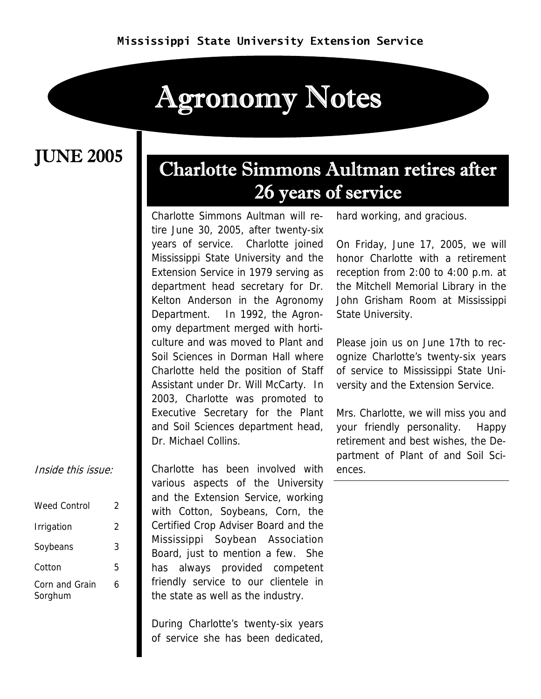# Agronomy Notes

### JUNE 2005

### Charlotte Simmons Aultman retires after 26 years of service

Charlotte Simmons Aultman will retire June 30, 2005, after twenty-six years of service. Charlotte joined Mississippi State University and the Extension Service in 1979 serving as department head secretary for Dr. Kelton Anderson in the Agronomy Department. In 1992, the Agronomy department merged with horticulture and was moved to Plant and Soil Sciences in Dorman Hall where Charlotte held the position of Staff Assistant under Dr. Will McCarty. In 2003, Charlotte was promoted to Executive Secretary for the Plant and Soil Sciences department head, Dr. Michael Collins.

Charlotte has been involved with various aspects of the University and the Extension Service, working with Cotton, Soybeans, Corn, the Certified Crop Adviser Board and the Mississippi Soybean Association Board, just to mention a few. She has always provided competent friendly service to our clientele in the state as well as the industry.

During Charlotte's twenty-six years of service she has been dedicated, hard working, and gracious.

On Friday, June 17, 2005, we will honor Charlotte with a retirement reception from 2:00 to 4:00 p.m. at the Mitchell Memorial Library in the John Grisham Room at Mississippi State University.

Please join us on June 17th to recognize Charlotte's twenty-six years of service to Mississippi State University and the Extension Service.

Mrs. Charlotte, we will miss you and your friendly personality. Happy retirement and best wishes, the Department of Plant of and Soil Sciences.

#### Inside this issue:

| Weed Control              | 2 |
|---------------------------|---|
| Irrigation                | 2 |
| Soybeans                  | 3 |
| Cotton                    | 5 |
| Corn and Grain<br>Sorghum | 6 |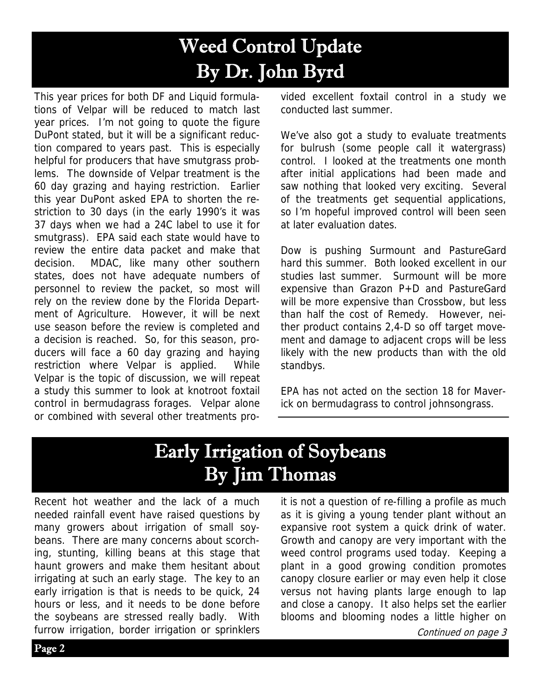## Weed Control Update By Dr. John Byrd

This year prices for both DF and Liquid formulations of Velpar will be reduced to match last year prices. I'm not going to quote the figure DuPont stated, but it will be a significant reduction compared to years past. This is especially helpful for producers that have smutgrass problems. The downside of Velpar treatment is the 60 day grazing and haying restriction. Earlier this year DuPont asked EPA to shorten the restriction to 30 days (in the early 1990's it was 37 days when we had a 24C label to use it for smutgrass). EPA said each state would have to review the entire data packet and make that decision. MDAC, like many other southern states, does not have adequate numbers of personnel to review the packet, so most will rely on the review done by the Florida Department of Agriculture. However, it will be next use season before the review is completed and a decision is reached. So, for this season, producers will face a 60 day grazing and haying restriction where Velpar is applied. While Velpar is the topic of discussion, we will repeat a study this summer to look at knotroot foxtail control in bermudagrass forages. Velpar alone or combined with several other treatments provided excellent foxtail control in a study we conducted last summer.

We've also got a study to evaluate treatments for bulrush (some people call it watergrass) control. I looked at the treatments one month after initial applications had been made and saw nothing that looked very exciting. Several of the treatments get sequential applications, so I'm hopeful improved control will been seen at later evaluation dates.

Dow is pushing Surmount and PastureGard hard this summer. Both looked excellent in our studies last summer. Surmount will be more expensive than Grazon P+D and PastureGard will be more expensive than Crossbow, but less than half the cost of Remedy. However, neither product contains 2,4-D so off target movement and damage to adjacent crops will be less likely with the new products than with the old standbys.

EPA has not acted on the section 18 for Maverick on bermudagrass to control johnsongrass.

### Early Irrigation of Soybeans By Jim Thomas

Recent hot weather and the lack of a much needed rainfall event have raised questions by many growers about irrigation of small soybeans. There are many concerns about scorching, stunting, killing beans at this stage that haunt growers and make them hesitant about irrigating at such an early stage. The key to an early irrigation is that is needs to be quick, 24 hours or less, and it needs to be done before the soybeans are stressed really badly. With furrow irrigation, border irrigation or sprinklers

it is not a question of re-filling a profile as much as it is giving a young tender plant without an expansive root system a quick drink of water. Growth and canopy are very important with the weed control programs used today. Keeping a plant in a good growing condition promotes canopy closure earlier or may even help it close versus not having plants large enough to lap and close a canopy. It also helps set the earlier blooms and blooming nodes a little higher on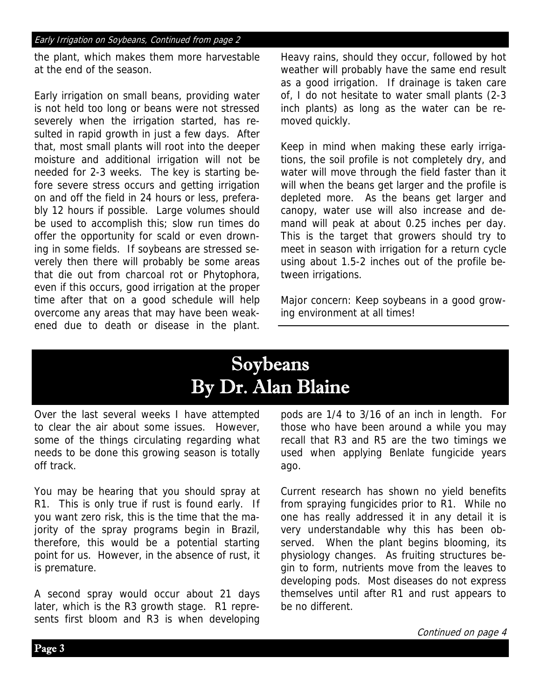#### Early Irrigation on Soybeans, Continued from page 2

the plant, which makes them more harvestable at the end of the season.

Early irrigation on small beans, providing water is not held too long or beans were not stressed severely when the irrigation started, has resulted in rapid growth in just a few days. After that, most small plants will root into the deeper moisture and additional irrigation will not be needed for 2-3 weeks. The key is starting before severe stress occurs and getting irrigation on and off the field in 24 hours or less, preferably 12 hours if possible. Large volumes should be used to accomplish this; slow run times do offer the opportunity for scald or even drowning in some fields. If soybeans are stressed severely then there will probably be some areas that die out from charcoal rot or Phytophora, even if this occurs, good irrigation at the proper time after that on a good schedule will help overcome any areas that may have been weakened due to death or disease in the plant.

Heavy rains, should they occur, followed by hot weather will probably have the same end result as a good irrigation. If drainage is taken care of, I do not hesitate to water small plants (2-3 inch plants) as long as the water can be removed quickly.

Keep in mind when making these early irrigations, the soil profile is not completely dry, and water will move through the field faster than it will when the beans get larger and the profile is depleted more. As the beans get larger and canopy, water use will also increase and demand will peak at about 0.25 inches per day. This is the target that growers should try to meet in season with irrigation for a return cycle using about 1.5-2 inches out of the profile between irrigations.

Major concern: Keep soybeans in a good growing environment at all times!

## Soybeans By Dr. Alan Blaine

Over the last several weeks I have attempted to clear the air about some issues. However, some of the things circulating regarding what needs to be done this growing season is totally off track.

You may be hearing that you should spray at R1. This is only true if rust is found early. If you want zero risk, this is the time that the majority of the spray programs begin in Brazil, therefore, this would be a potential starting point for us. However, in the absence of rust, it is premature.

A second spray would occur about 21 days later, which is the R3 growth stage. R1 represents first bloom and R3 is when developing pods are 1/4 to 3/16 of an inch in length. For those who have been around a while you may recall that R3 and R5 are the two timings we used when applying Benlate fungicide years ago.

Current research has shown no yield benefits from spraying fungicides prior to R1. While no one has really addressed it in any detail it is very understandable why this has been observed. When the plant begins blooming, its physiology changes. As fruiting structures begin to form, nutrients move from the leaves to developing pods. Most diseases do not express themselves until after R1 and rust appears to be no different.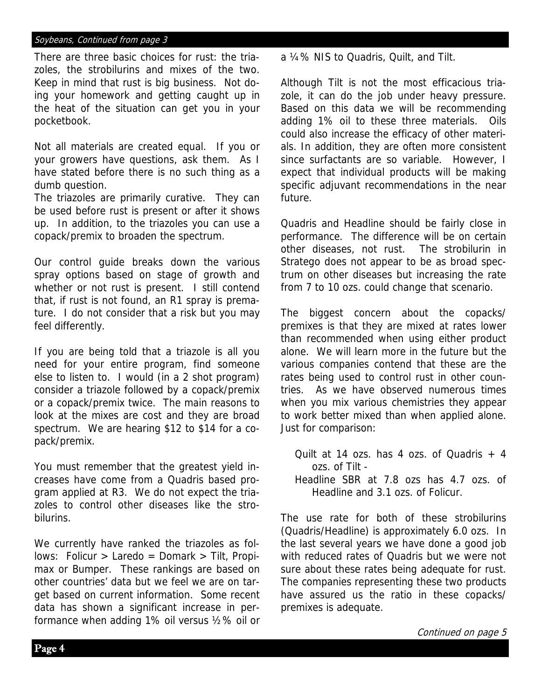#### Soybeans, Continued from page 3

There are three basic choices for rust: the triazoles, the strobilurins and mixes of the two. Keep in mind that rust is big business. Not doing your homework and getting caught up in the heat of the situation can get you in your pocketbook.

Not all materials are created equal. If you or your growers have questions, ask them. As I have stated before there is no such thing as a dumb question.

The triazoles are primarily curative. They can be used before rust is present or after it shows up. In addition, to the triazoles you can use a copack/premix to broaden the spectrum.

Our control guide breaks down the various spray options based on stage of growth and whether or not rust is present. I still contend that, if rust is not found, an R1 spray is premature. I do not consider that a risk but you may feel differently.

If you are being told that a triazole is all you need for your entire program, find someone else to listen to. I would (in a 2 shot program) consider a triazole followed by a copack/premix or a copack/premix twice. The main reasons to look at the mixes are cost and they are broad spectrum. We are hearing \$12 to \$14 for a copack/premix.

You must remember that the greatest yield increases have come from a Quadris based program applied at R3. We do not expect the triazoles to control other diseases like the strobilurins.

We currently have ranked the triazoles as follows: Folicur > Laredo = Domark > Tilt, Propimax or Bumper. These rankings are based on other countries' data but we feel we are on target based on current information. Some recent data has shown a significant increase in performance when adding 1% oil versus ½% oil or a ¼% NIS to Quadris, Quilt, and Tilt.

Although Tilt is not the most efficacious triazole, it can do the job under heavy pressure. Based on this data we will be recommending adding 1% oil to these three materials. Oils could also increase the efficacy of other materials. In addition, they are often more consistent since surfactants are so variable. However, I expect that individual products will be making specific adjuvant recommendations in the near future.

Quadris and Headline should be fairly close in performance. The difference will be on certain other diseases, not rust. The strobilurin in Stratego does not appear to be as broad spectrum on other diseases but increasing the rate from 7 to 10 ozs. could change that scenario.

The biggest concern about the copacks/ premixes is that they are mixed at rates lower than recommended when using either product alone. We will learn more in the future but the various companies contend that these are the rates being used to control rust in other countries. As we have observed numerous times when you mix various chemistries they appear to work better mixed than when applied alone. Just for comparison:

Quilt at 14 ozs. has 4 ozs. of Quadris  $+4$  ozs. of Tilt - Headline SBR at 7.8 ozs has 4.7 ozs. of

Headline and 3.1 ozs. of Folicur.

The use rate for both of these strobilurins (Quadris/Headline) is approximately 6.0 ozs. In the last several years we have done a good job with reduced rates of Quadris but we were not sure about these rates being adequate for rust. The companies representing these two products have assured us the ratio in these copacks/ premixes is adequate.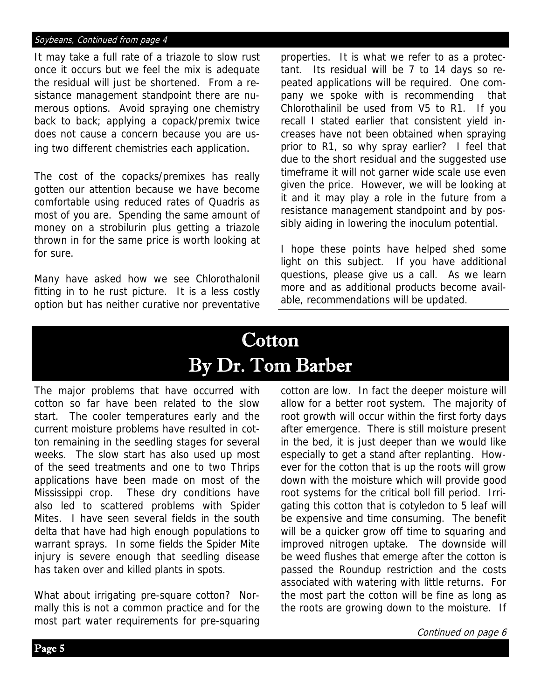#### Soybeans, Continued from page 4

It may take a full rate of a triazole to slow rust once it occurs but we feel the mix is adequate the residual will just be shortened. From a resistance management standpoint there are numerous options. Avoid spraying one chemistry back to back; applying a copack/premix twice does not cause a concern because you are using two different chemistries each application.

The cost of the copacks/premixes has really gotten our attention because we have become comfortable using reduced rates of Quadris as most of you are. Spending the same amount of money on a strobilurin plus getting a triazole thrown in for the same price is worth looking at for sure.

Many have asked how we see Chlorothalonil fitting in to he rust picture. It is a less costly option but has neither curative nor preventative properties. It is what we refer to as a protectant. Its residual will be 7 to 14 days so repeated applications will be required. One company we spoke with is recommending that Chlorothalinil be used from V5 to R1. If you recall I stated earlier that consistent yield increases have not been obtained when spraying prior to R1, so why spray earlier? I feel that due to the short residual and the suggested use timeframe it will not garner wide scale use even given the price. However, we will be looking at it and it may play a role in the future from a resistance management standpoint and by possibly aiding in lowering the inoculum potential.

I hope these points have helped shed some light on this subject. If you have additional questions, please give us a call. As we learn more and as additional products become available, recommendations will be updated.

### **Cotton** By Dr. Tom Barber

The major problems that have occurred with cotton so far have been related to the slow start. The cooler temperatures early and the current moisture problems have resulted in cotton remaining in the seedling stages for several weeks. The slow start has also used up most of the seed treatments and one to two Thrips applications have been made on most of the Mississippi crop. These dry conditions have also led to scattered problems with Spider Mites. I have seen several fields in the south delta that have had high enough populations to warrant sprays. In some fields the Spider Mite injury is severe enough that seedling disease has taken over and killed plants in spots.

What about irrigating pre-square cotton? Normally this is not a common practice and for the most part water requirements for pre-squaring cotton are low. In fact the deeper moisture will allow for a better root system. The majority of root growth will occur within the first forty days after emergence. There is still moisture present in the bed, it is just deeper than we would like especially to get a stand after replanting. However for the cotton that is up the roots will grow down with the moisture which will provide good root systems for the critical boll fill period. Irrigating this cotton that is cotyledon to 5 leaf will be expensive and time consuming. The benefit will be a quicker grow off time to squaring and improved nitrogen uptake. The downside will be weed flushes that emerge after the cotton is passed the Roundup restriction and the costs associated with watering with little returns. For the most part the cotton will be fine as long as the roots are growing down to the moisture. If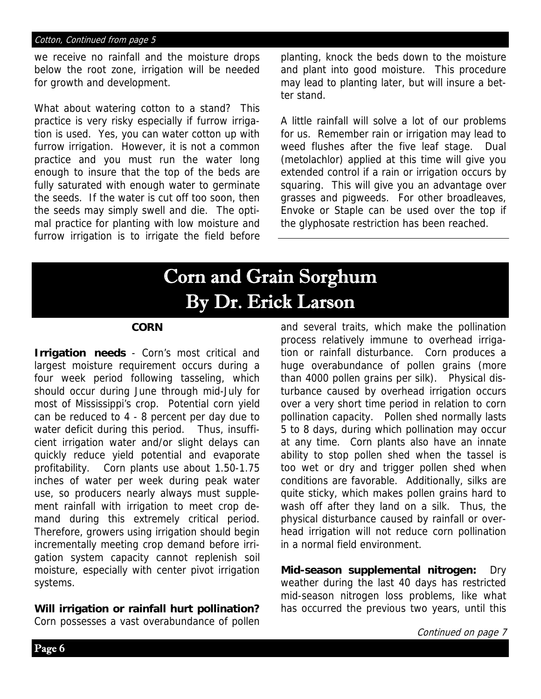#### Cotton, Continued from page 5

we receive no rainfall and the moisture drops below the root zone, irrigation will be needed for growth and development.

What about watering cotton to a stand? This practice is very risky especially if furrow irrigation is used. Yes, you can water cotton up with furrow irrigation. However, it is not a common practice and you must run the water long enough to insure that the top of the beds are fully saturated with enough water to germinate the seeds. If the water is cut off too soon, then the seeds may simply swell and die. The optimal practice for planting with low moisture and furrow irrigation is to irrigate the field before

planting, knock the beds down to the moisture and plant into good moisture. This procedure may lead to planting later, but will insure a better stand.

A little rainfall will solve a lot of our problems for us. Remember rain or irrigation may lead to weed flushes after the five leaf stage. Dual (metolachlor) applied at this time will give you extended control if a rain or irrigation occurs by squaring. This will give you an advantage over grasses and pigweeds. For other broadleaves, Envoke or Staple can be used over the top if the glyphosate restriction has been reached.

### Corn and Grain Sorghum By Dr. Erick Larson

#### **CORN**

**Irrigation needs** - Corn's most critical and largest moisture requirement occurs during a four week period following tasseling, which should occur during June through mid-July for most of Mississippi's crop. Potential corn yield can be reduced to 4 - 8 percent per day due to water deficit during this period. Thus, insufficient irrigation water and/or slight delays can quickly reduce yield potential and evaporate profitability. Corn plants use about 1.50-1.75 inches of water per week during peak water use, so producers nearly always must supplement rainfall with irrigation to meet crop demand during this extremely critical period. Therefore, growers using irrigation should begin incrementally meeting crop demand before irrigation system capacity cannot replenish soil moisture, especially with center pivot irrigation systems.

#### **Will irrigation or rainfall hurt pollination?**

Corn possesses a vast overabundance of pollen

and several traits, which make the pollination process relatively immune to overhead irrigation or rainfall disturbance. Corn produces a huge overabundance of pollen grains (more than 4000 pollen grains per silk). Physical disturbance caused by overhead irrigation occurs over a very short time period in relation to corn pollination capacity. Pollen shed normally lasts 5 to 8 days, during which pollination may occur at any time. Corn plants also have an innate ability to stop pollen shed when the tassel is too wet or dry and trigger pollen shed when conditions are favorable. Additionally, silks are quite sticky, which makes pollen grains hard to wash off after they land on a silk. Thus, the physical disturbance caused by rainfall or overhead irrigation will not reduce corn pollination in a normal field environment.

**Mid-season supplemental nitrogen:** Dry weather during the last 40 days has restricted mid-season nitrogen loss problems, like what has occurred the previous two years, until this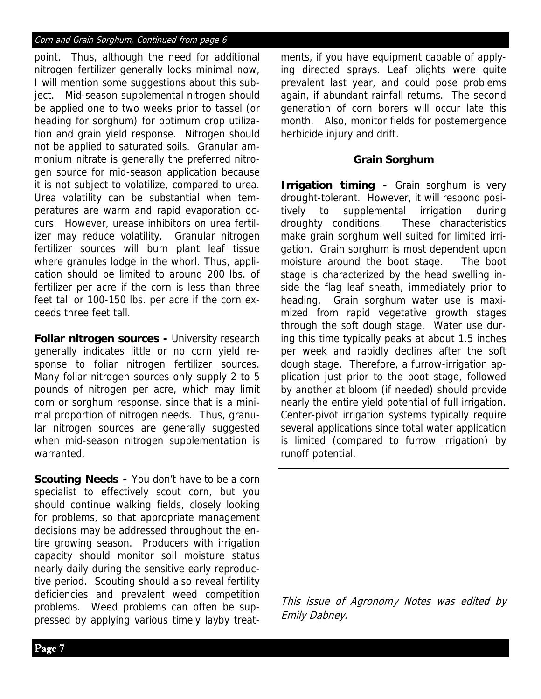#### Corn and Grain Sorghum, Continued from page 6

point. Thus, although the need for additional nitrogen fertilizer generally looks minimal now, I will mention some suggestions about this subject. Mid-season supplemental nitrogen should be applied one to two weeks prior to tassel (or heading for sorghum) for optimum crop utilization and grain yield response. Nitrogen should not be applied to saturated soils. Granular ammonium nitrate is generally the preferred nitrogen source for mid-season application because it is not subject to volatilize, compared to urea. Urea volatility can be substantial when temperatures are warm and rapid evaporation occurs. However, urease inhibitors on urea fertilizer may reduce volatility. Granular nitrogen fertilizer sources will burn plant leaf tissue where granules lodge in the whorl. Thus, application should be limited to around 200 lbs. of fertilizer per acre if the corn is less than three feet tall or 100-150 lbs. per acre if the corn exceeds three feet tall.

**Foliar nitrogen sources -** University research generally indicates little or no corn yield response to foliar nitrogen fertilizer sources. Many foliar nitrogen sources only supply 2 to 5 pounds of nitrogen per acre, which may limit corn or sorghum response, since that is a minimal proportion of nitrogen needs. Thus, granular nitrogen sources are generally suggested when mid-season nitrogen supplementation is warranted.

**Scouting Needs -** You don't have to be a corn specialist to effectively scout corn, but you should continue walking fields, closely looking for problems, so that appropriate management decisions may be addressed throughout the entire growing season. Producers with irrigation capacity should monitor soil moisture status nearly daily during the sensitive early reproductive period. Scouting should also reveal fertility deficiencies and prevalent weed competition problems. Weed problems can often be suppressed by applying various timely layby treatments, if you have equipment capable of applying directed sprays. Leaf blights were quite prevalent last year, and could pose problems again, if abundant rainfall returns. The second generation of corn borers will occur late this month. Also, monitor fields for postemergence herbicide injury and drift.

#### **Grain Sorghum**

**Irrigation timing - Grain sorghum is very** drought-tolerant. However, it will respond positively to supplemental irrigation during droughty conditions. These characteristics make grain sorghum well suited for limited irrigation. Grain sorghum is most dependent upon moisture around the boot stage. The boot stage is characterized by the head swelling inside the flag leaf sheath, immediately prior to heading. Grain sorghum water use is maximized from rapid vegetative growth stages through the soft dough stage. Water use during this time typically peaks at about 1.5 inches per week and rapidly declines after the soft dough stage. Therefore, a furrow-irrigation application just prior to the boot stage, followed by another at bloom (if needed) should provide nearly the entire yield potential of full irrigation. Center-pivot irrigation systems typically require several applications since total water application is limited (compared to furrow irrigation) by runoff potential.

This issue of Agronomy Notes was edited by Emily Dabney.